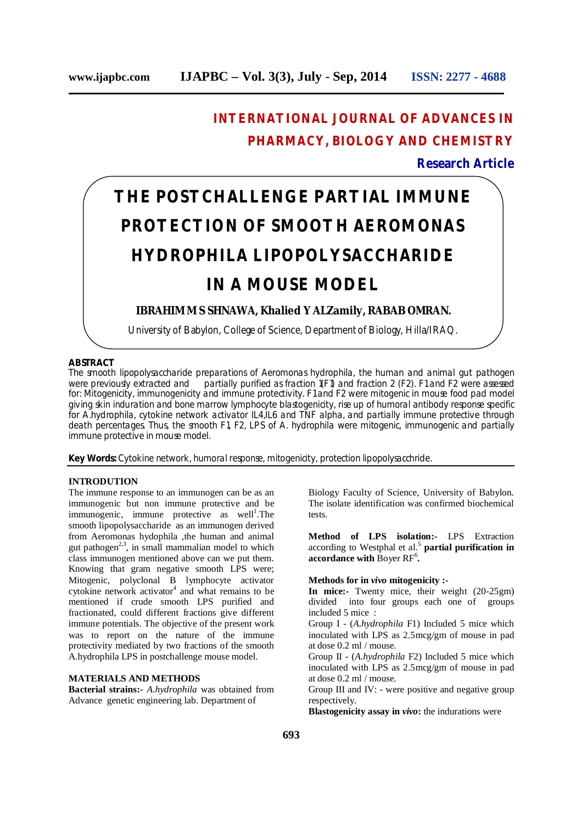# **INTERNATIONAL JOURNAL OF ADVANCES IN PHARMACY, BIOLOGY AND CHEMISTRY**

# **Research Article**

# **THE POSTCHALLENGE PARTIAL IMMUNE PROTECTION OF SMOOTH AEROMONAS HYDROPHILA LIPOPOLYSACCHARIDE IN A MOUSE MODEL**

# **IBRAHIM M S SHNAWA, Khalied Y ALZamily, RABAB OMRAN.**

University of Babylon, College of Science, Department of Biology, Hilla/IRAQ.

# **ABSTRACT**

The smooth lipopolysaccharide preparations of Aeromonas hydrophila, the human and animal gut pathogen were previously extracted and partially purified as fraction 1(F1) and fraction 2 (F2). F1 and F2 were assessed for: Mitogenicity, immunogenicity and immune protectivity. F1 and F2 were mitogenic in mouse food pad model giving skin induration and bone marrow lymphocyte blastogenicity, rise up of humoral antibody response specific for A.hydrophila, cytokine network activator IL4,IL6 and TNF alpha, and partially immune protective through death percentages. Thus, the smooth F1, F2, LPS of A. hydrophila were mitogenic, immunogenic and partially immune protective in mouse model.

**Key Words:** Cytokine network, humoral response, mitogenicity, protection lipopolysacchride.

## **INTRODUTION**

The immune response to an immunogen can be as an immunogenic but non immune protective and be immunogenic, immune protective as well<sup>1</sup>. The smooth lipopolysaccharide as an immunogen derived from Aeromonas hydophila ,the human and animal gut pathogen<sup>2,3</sup>, in small mammalian model to which class immunogen mentioned above can we put them. Knowing that gram negative smooth LPS were; Mitogenic, polyclonal B lymphocyte activator cytokine network activator 4 and what remains to be mentioned if crude smooth LPS purified and fractionated, could different fractions give different immune potentials. The objective of the present work was to report on the nature of the immune protectivity mediated by two fractions of the smooth A.hydrophila LPS in postchallenge mouse model.

# **MATERIALS AND METHODS**

**Bacterial strains:-** *A.hydrophila* was obtained from Advance genetic engineering lab. Department of

Biology Faculty of Science, University of Babylon. The isolate identification was confirmed biochemical tests.

**Method of LPS isolation:-** LPS Extraction according to Westphal et al. 5 **partial purification in accordance with** Boyer RF 6 **.**

### **Methods for in** *vivo* **mitogenicity :-**

**In mice:-** Twenty mice, their weight (20-25gm) divided into four groups each one of groups included 5 mice :

Group I - (*A.hydrophila* F1) Included 5 mice which inoculated with LPS as 2.5mcg/gm of mouse in pad at dose 0.2 ml / mouse.

Group II - (*A.hydrophila* F2) Included 5 mice which inoculated with LPS as 2.5mcg/gm of mouse in pad at dose 0.2 ml / mouse.

Group III and IV: - were positive and negative group respectively.

**Blastogenicity assay in** *vivo***:** the indurations were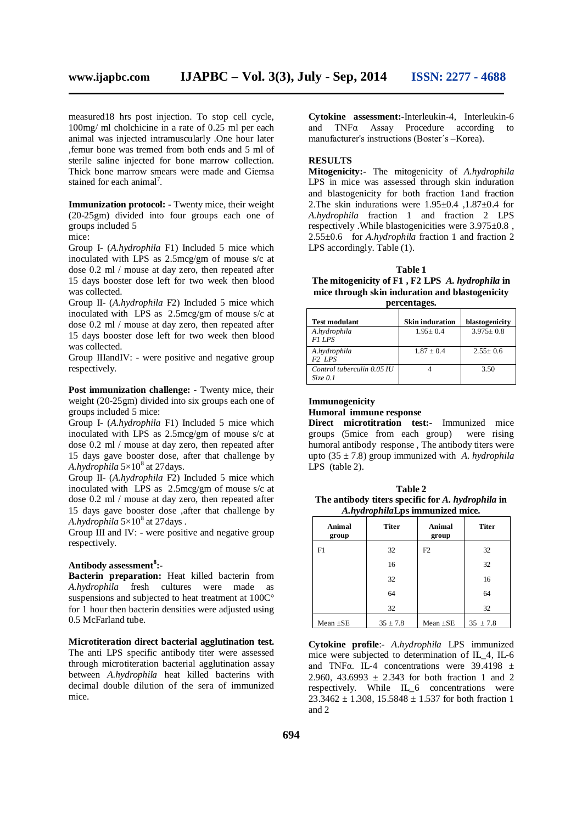measured18 hrs post injection. To stop cell cycle, 100mg/ ml cholchicine in a rate of 0.25 ml per each animal was injected intramuscularly .One hour later ,femur bone was tremed from both ends and 5 ml of sterile saline injected for bone marrow collection. Thick bone marrow smears were made and Giemsa stained for each animal<sup>7</sup>.

**Immunization protocol: -** Twenty mice, their weight (20-25gm) divided into four groups each one of groups included 5 mice:

Group I- (*A.hydrophila* F1) Included 5 mice which inoculated with LPS as 2.5mcg/gm of mouse s/c at dose 0.2 ml / mouse at day zero, then repeated after 15 days booster dose left for two week then blood was collected.

Group II- (*A.hydrophila* F2) Included 5 mice which inoculated with LPS as 2.5mcg/gm of mouse s/c at dose 0.2 ml / mouse at day zero, then repeated after 15 days booster dose left for two week then blood was collected.

Group IIIandIV: - were positive and negative group respectively.

**Post immunization challenge: -** Twenty mice, their weight (20-25gm) divided into six groups each one of groups included 5 mice:

Group I- (*A.hydrophila* F1) Included 5 mice which inoculated with LPS as 2.5mcg/gm of mouse s/c at dose 0.2 ml / mouse at day zero, then repeated after 15 days gave booster dose, after that challenge by *A.hydrophila* 5×10 8 at 27days.

Group II- (*A.hydrophila* F2) Included 5 mice which inoculated with LPS as 2.5mcg/gm of mouse s/c at dose 0.2 ml / mouse at day zero, then repeated after 15 days gave booster dose ,after that challenge by A.hydrophila  $5 \times 10^8$  at 27 days.

Group III and IV: - were positive and negative group respectively.

# **Antibody assessment 8 :-**

**Bacterin preparation:** Heat killed bacterin from *A.hydrophila* fresh cultures were made as suspensions and subjected to heat treatment at 100C° for 1 hour then bacterin densities were adjusted using 0.5 McFarland tube.

**Microtiteration direct bacterial agglutination test.** The anti LPS specific antibody titer were assessed through microtiteration bacterial agglutination assay between *A.hydrophila* heat killed bacterins with decimal double dilution of the sera of immunized mice.

**Cytokine assessment:-**Interleukin-4, Interleukin-6 and TNFα Assay Procedure according to manufacturer's instructions (Boster΄s –Korea).

# **RESULTS**

**Mitogenicity:-** The mitogenicity of *A.hydrophila* LPS in mice was assessed through skin induration and blastogenicity for both fraction 1and fraction 2.The skin indurations were  $1.95\pm0.4$ ,  $1.87\pm0.4$  for *A.hydrophila* fraction 1 and fraction 2 LPS respectively .While blastogenicities were 3.975±0.8 , 2.55±0.6 for *A.hydrophila* fraction 1 and fraction 2 LPS accordingly. Table (1).

#### **Table 1**

**The mitogenicity of F1 , F2 LPS** *A. hydrophila* **in mice through skin induration and blastogenicity percentages.**

| <b>Test modulant</b>                      | <b>Skin induration</b> | blastogenicity |
|-------------------------------------------|------------------------|----------------|
| A.hydrophila<br>F1 LPS                    | $1.95 + 0.4$           | $3.975 + 0.8$  |
| A.hydrophila<br>F <sub>2</sub> LPS        | $1.87 + 0.4$           | $2.55+0.6$     |
| Control tuberculin 0.05 IU<br>$Size\ 0.1$ |                        | 3.50           |

# **Immunogenicity Humoral immune response**

**Direct microtitration test:-** Immunized mice groups (5mice from each group) were rising humoral antibody response , The antibody titers were upto (35 ± 7.8) group immunized with *A. hydrophila* LPS (table 2).

**Table 2 The antibody titers specific for** *A. hydrophila* **in** *A.hydrophila***Lps immunized mice.**

| <b>Animal</b><br>group | <b>Titer</b> | Animal<br>group | <b>Titer</b> |
|------------------------|--------------|-----------------|--------------|
| F1                     | 32           | F2              | 32           |
|                        | 16           |                 | 32           |
|                        | 32           |                 | 16           |
|                        | 64           |                 | 64           |
|                        | 32           |                 | 32           |
| Mean $\pm$ SE          | $35 \pm 7.8$ | Mean $\pm$ SE   | $35 \pm 7.8$ |

**Cytokine profile**:- *A.hydrophila* LPS immunized mice were subjected to determination of IL\_4, IL-6 and TNF $\alpha$ . IL-4 concentrations were 39.4198  $\pm$ 2.960, 43.6993  $\pm$  2.343 for both fraction 1 and 2 respectively. While IL\_6 concentrations were  $23.3462 \pm 1.308$ ,  $15.5848 \pm 1.537$  for both fraction 1 and 2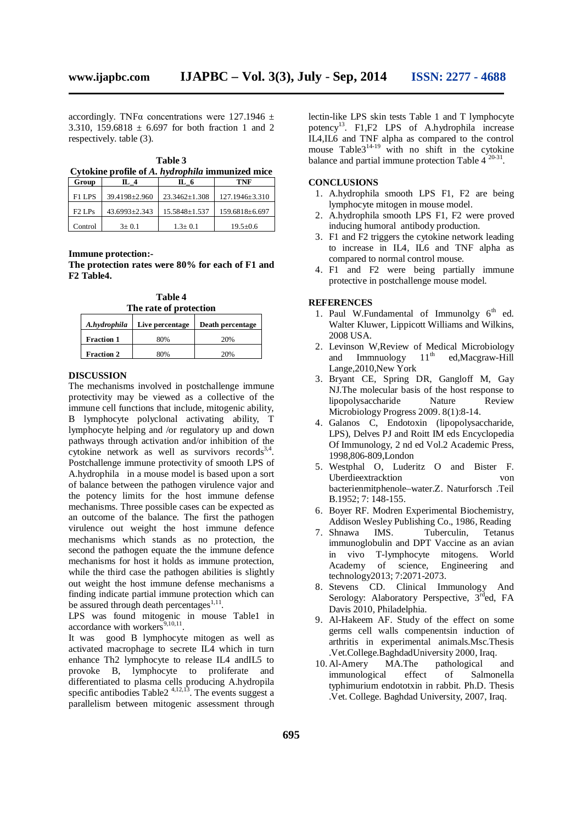accordingly. TNF $\alpha$  concentrations were 127.1946  $\pm$ 3.310, 159.6818  $\pm$  6.697 for both fraction 1 and 2 respectively. table (3).

**Table 3 Cytokine profile of** *A. hydrophila* **immunized mice**

| Group    | IL 4              | IL 6            | TNF                  |
|----------|-------------------|-----------------|----------------------|
| F1 LPS   | 39.4198±2.960     | $23.3462+1.308$ | $127.1946 \pm 3.310$ |
| $F2$ LPs | $43.6993 + 2.343$ | 15.5848+1.537   | 159.6818±6.697       |
| Control  | $3+0.1$           | $1.3 + 0.1$     | $19.5 + 0.6$         |

#### **Immune protection:-**

**The protection rates were 80% for each of F1 and F2 Table4.**

**Table 4 The rate of protection**

| A.hydrophila      | Live percentage | Death percentage |
|-------------------|-----------------|------------------|
| <b>Fraction 1</b> | 80%             | 20%              |
| <b>Fraction 2</b> | 80%             | 20%              |

#### **DISCUSSION**

The mechanisms involved in postchallenge immune protectivity may be viewed as a collective of the immune cell functions that include, mitogenic ability, B lymphocyte polyclonal activating ability, T lymphocyte helping and /or regulatory up and down pathways through activation and/or inhibition of the cytokine network as well as survivors records<sup>3,4</sup>. Postchallenge immune protectivity of smooth LPS of A.hydrophila in a mouse model is based upon a sort of balance between the pathogen virulence vajor and the potency limits for the host immune defense mechanisms. Three possible cases can be expected as an outcome of the balance. The first the pathogen virulence out weight the host immune defence mechanisms which stands as no protection, the second the pathogen equate the the immune defence mechanisms for host it holds as immune protection, while the third case the pathogen abilities is slightly out weight the host immune defense mechanisms a finding indicate partial immune protection which can be assured through death percentages<sup>1,11</sup>.

LPS was found mitogenic in mouse Table1 in accordance with workers 9,10,11 .

It was good B lymphocyte mitogen as well as activated macrophage to secrete IL4 which in turn enhance Th2 lymphocyte to release IL4 andIL5 to provoke B, lymphocyte to proliferate and differentiated to plasma cells producing A.hydropila specific antibodies Table  $2^{4,12,13}$ . The events suggest a parallelism between mitogenic assessment through lectin-like LPS skin tests Table 1 and T lymphocyte potency<sup>13</sup>. F1,F2 LPS of A.hydrophila increase IL4,IL6 and TNF alpha as compared to the control mouse Table  $3^{14-19}$  with no shift in the cytokine balance and partial immune protection Table  $4^{20-31}$ .

#### **CONCLUSIONS**

- 1. A.hydrophila smooth LPS F1, F2 are being lymphocyte mitogen in mouse model.
- 2. A.hydrophila smooth LPS F1, F2 were proved inducing humoral antibody production.
- 3. F1 and F2 triggers the cytokine network leading to increase in IL4, IL6 and TNF alpha as compared to normal control mouse.
- 4. F1 and F2 were being partially immune protective in postchallenge mouse model.

#### **REFERENCES**

- 1. Paul W.Fundamental of Immunolgy  $6<sup>th</sup>$  ed. Walter Kluwer, Lippicott Williams and Wilkins, 2008 USA.
- 2. Levinson W,Review of Medical Microbiology and Immnuology  $11<sup>th</sup>$ ed,Macgraw-Hill Lange,2010,New York
- 3. Bryant CE, Spring DR, Gangloff M, Gay NJ.The molecular basis of the host response to lipopolysaccharide Nature Review Microbiology Progress 2009. 8(1):8-14.
- 4. Galanos C, Endotoxin (lipopolysaccharide, LPS), Delves PJ and Roitt IM eds Encyclopedia Of Immunology, 2 nd ed Vol.2 Academic Press, 1998,806-809,London
- 5. Westphal O, Luderitz O and Bister F. Uberdieextracktion von bacterienmitphenole–water.Z. Naturforsch .Teil B.1952; 7: 148-155.
- 6. Boyer RF. Modren Experimental Biochemistry, Addison Wesley Publishing Co., 1986, Reading
- 7. Shnawa IMS. Tuberculin, Tetanus immunoglobulin and DPT Vaccine as an avian in vivo T-lymphocyte mitogens. World Academy of science, Engineering and technology2013; 7:2071-2073.
- 8. Stevens CD. Clinical Immunology And Serology: Alaboratory Perspective, 3<sup>rd</sup>ed, FA Davis 2010, Philadelphia.
- 9. Al-Hakeem AF. Study of the effect on some germs cell walls compenentsin induction of arthritis in experimental animals.Msc.Thesis .Vet.College.BaghdadUniversity 2000, Iraq.
- 10.Al-Amery MA.The pathological and immunological effect of Salmonella typhimurium endototxin in rabbit. Ph.D. Thesis .Vet. College. Baghdad University, 2007, Iraq.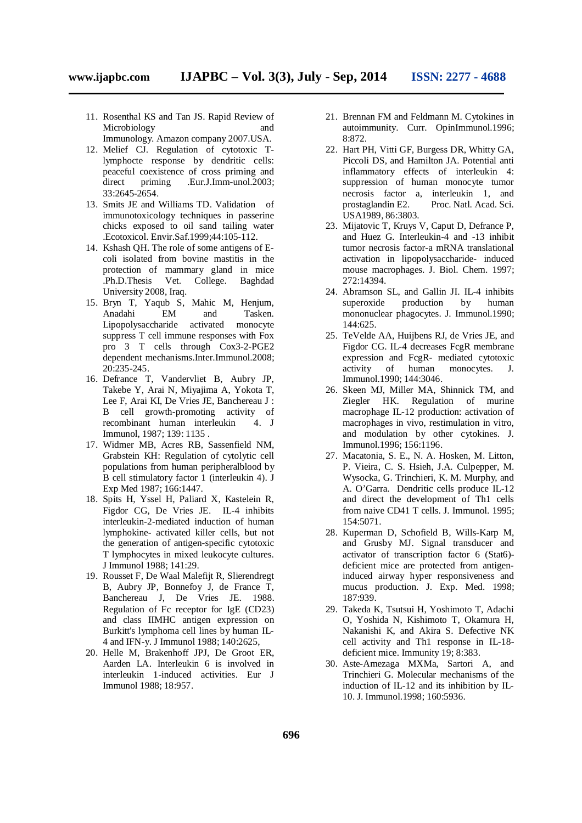- - 11. Rosenthal KS and Tan JS. Rapid Review of Microbiology and Immunology. Amazon company 2007.USA.
	- 12. Melief CJ. Regulation of cytotoxic Tlymphocte response by dendritic cells: peaceful coexistence of cross priming and<br>direct priming .Eur.J.Imm-unol.2003; direct priming .Eur.J.Imm-unol.2003; 33:2645-2654.
	- 13. Smits JE and Williams TD. Validation of immunotoxicology techniques in passerine chicks exposed to oil sand tailing water .Ecotoxicol. Envir.Saf.1999;44:105-112.
	- 14. Kshash QH. The role of some antigens of Ecoli isolated from bovine mastitis in the protection of mammary gland in mice .Ph.D.Thesis Vet. College. Baghdad University 2008, Iraq.
	- 15. Bryn T, Yaqub S, Mahic M, Henjum, Anadahi EM and Tasken. Lipopolysaccharide activated monocyte suppress T cell immune responses with Fox pro 3 T cells through Cox3-2-PGE2 dependent mechanisms.Inter.Immunol.2008; 20:235-245.
	- 16. Defrance T, Vandervliet B, Aubry JP, Takebe Y, Arai N, Miyajima A, Yokota T, Lee F, Arai KI, De Vries JE, Banchereau J : B cell growth-promoting activity of recombinant human interleukin 4. J Immunol, 1987; 139: 1135 .
	- 17. Widmer MB, Acres RB, Sassenfield NM, Grabstein KH: Regulation of cytolytic cell populations from human peripheralblood by B cell stimulatory factor 1 (interleukin 4). J Exp Med 1987; 166:1447.
	- 18. Spits H, Yssel H, Paliard X, Kastelein R, Figdor CG, De Vries JE. IL-4 inhibits interleukin-2-mediated induction of human lymphokine- activated killer cells, but not the generation of antigen-specific cytotoxic T lymphocytes in mixed leukocyte cultures. J Immunol 1988; 141:29.
	- 19. Rousset F, De Waal Malefijt R, Slierendregt B, Aubry JP, Bonnefoy J, de France T, Banchereau J, De Vries JE. 1988. Regulation of Fc receptor for IgE (CD23) and class IIMHC antigen expression on Burkitt's lymphoma cell lines by human IL-4 and IFN-y. J Immunol 1988; 140:2625,
	- 20. Helle M, Brakenhoff JPJ, De Groot ER, Aarden LA. Interleukin 6 is involved in interleukin 1-induced activities. Eur J Immunol 1988; 18:957.
- 21. Brennan FM and Feldmann M. Cytokines in autoimmunity. Curr. OpinImmunol.1996; 8:872.
- 22. Hart PH, Vitti GF, Burgess DR, Whitty GA, Piccoli DS, and Hamilton JA. Potential anti inflammatory effects of interleukin 4: suppression of human monocyte tumor necrosis factor a, interleukin 1, and prostaglandin E2. Proc. Natl. Acad. Sci. USA1989, 86:3803.
- 23. Mijatovic T, Kruys V, Caput D, Defrance P, and Huez G. Interleukin-4 and -13 inhibit tumor necrosis factor-a mRNA translational activation in lipopolysaccharide- induced mouse macrophages. J. Biol. Chem. 1997; 272:14394.
- 24. Abramson SL, and Gallin JI. IL-4 inhibits superoxide production by human mononuclear phagocytes. J. Immunol.1990; 144:625.
- 25. TeVelde AA, Huijbens RJ, de Vries JE, and Figdor CG. IL-4 decreases FcgR membrane expression and FcgR- mediated cytotoxic<br>activity of human monocytes. J. activity of human monocytes. J. Immunol.1990; 144:3046.
- 26. Skeen MJ, Miller MA, Shinnick TM, and Ziegler HK. Regulation of murine macrophage IL-12 production: activation of macrophages in vivo, restimulation in vitro, and modulation by other cytokines. J. Immunol.1996; 156:1196.
- 27. Macatonia, S. E., N. A. Hosken, M. Litton, P. Vieira, C. S. Hsieh, J.A. Culpepper, M. Wysocka, G. Trinchieri, K. M. Murphy, and A. O'Garra. Dendritic cells produce IL-12 and direct the development of Th1 cells from naive CD41 T cells. J. Immunol. 1995; 154:5071.
- 28. Kuperman D, Schofield B, Wills-Karp M, and Grusby MJ. Signal transducer and activator of transcription factor 6 (Stat6) deficient mice are protected from antigeninduced airway hyper responsiveness and mucus production. J. Exp. Med. 1998; 187:939.
- 29. Takeda K, Tsutsui H, Yoshimoto T, Adachi O, Yoshida N, Kishimoto T, Okamura H, Nakanishi K, and Akira S. Defective NK cell activity and Th1 response in IL-18 deficient mice. Immunity 19; 8:383.
- 30. Aste-Amezaga MXMa, Sartori A, and Trinchieri G. Molecular mechanisms of the induction of IL-12 and its inhibition by IL-10. J. Immunol.1998; 160:5936.